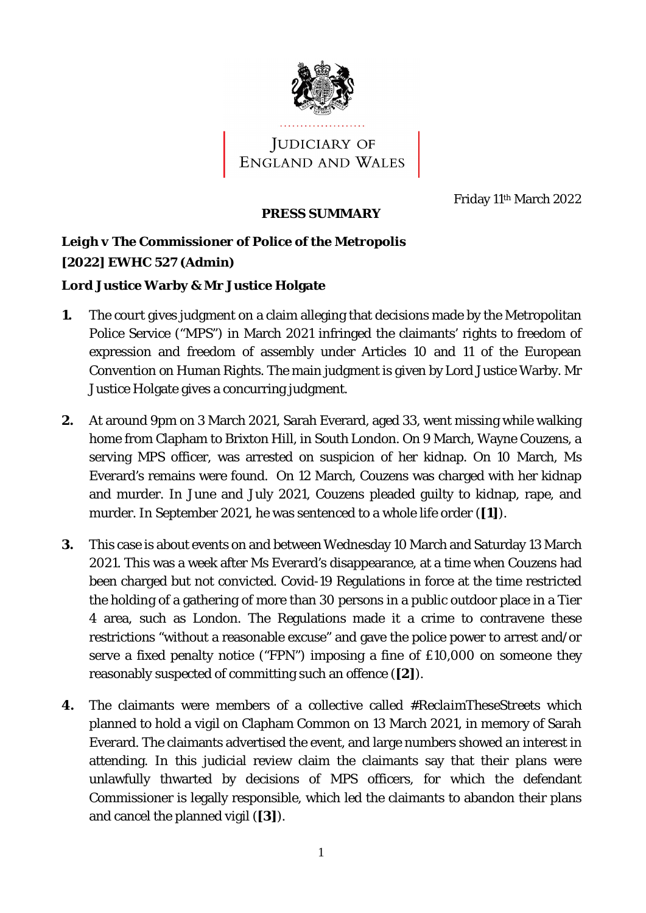

## JUDICIARY OF<br>ENGLAND AND WALES

Friday 11th March 2022

## **PRESS SUMMARY**

*Leigh v The Commissioner of Police of the Metropolis* **[2022] EWHC 527 (Admin)**

**Lord Justice Warby & Mr Justice Holgate**

- **1.** The court gives judgment on a claim alleging that decisions made by the Metropolitan Police Service ("MPS") in March 2021 infringed the claimants' rights to freedom of expression and freedom of assembly under Articles 10 and 11 of the European Convention on Human Rights. The main judgment is given by Lord Justice Warby. Mr Justice Holgate gives a concurring judgment.
- **2.** At around 9pm on 3 March 2021, Sarah Everard, aged 33, went missing while walking home from Clapham to Brixton Hill, in South London. On 9 March, Wayne Couzens, a serving MPS officer, was arrested on suspicion of her kidnap. On 10 March, Ms Everard's remains were found. On 12 March, Couzens was charged with her kidnap and murder. In June and July 2021, Couzens pleaded guilty to kidnap, rape, and murder. In September 2021, he was sentenced to a whole life order (**[1]**).
- **3.** This case is about events on and between Wednesday 10 March and Saturday 13 March 2021. This was a week after Ms Everard's disappearance, at a time when Couzens had been charged but not convicted. Covid-19 Regulations in force at the time restricted the holding of a gathering of more than 30 persons in a public outdoor place in a Tier 4 area, such as London. The Regulations made it a crime to contravene these restrictions "without a reasonable excuse" and gave the police power to arrest and/or serve a fixed penalty notice ("FPN") imposing a fine of £10,000 on someone they reasonably suspected of committing such an offence (**[2]**).
- **4.** The claimants were members of a collective called *#ReclaimTheseStreets* which planned to hold a vigil on Clapham Common on 13 March 2021, in memory of Sarah Everard. The claimants advertised the event, and large numbers showed an interest in attending. In this judicial review claim the claimants say that their plans were unlawfully thwarted by decisions of MPS officers, for which the defendant Commissioner is legally responsible, which led the claimants to abandon their plans and cancel the planned vigil (**[3]**).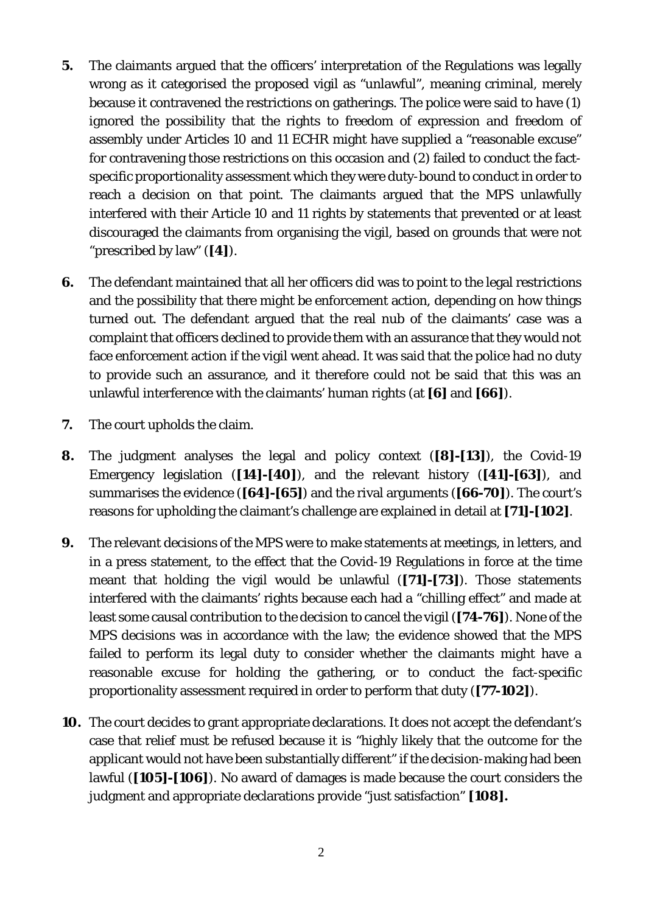- **5.** The claimants argued that the officers' interpretation of the Regulations was legally wrong as it categorised the proposed vigil as "unlawful", meaning criminal, merely because it contravened the restrictions on gatherings. The police were said to have (1) ignored the possibility that the rights to freedom of expression and freedom of assembly under Articles 10 and 11 ECHR might have supplied a "reasonable excuse" for contravening those restrictions on this occasion and (2) failed to conduct the factspecific proportionality assessment which they were duty-bound to conduct in order to reach a decision on that point. The claimants argued that the MPS unlawfully interfered with their Article 10 and 11 rights by statements that prevented or at least discouraged the claimants from organising the vigil, based on grounds that were not "prescribed by law" (**[4]**).
- **6.** The defendant maintained that all her officers did was to point to the legal restrictions and the possibility that there might be enforcement action, depending on how things turned out. The defendant argued that the real nub of the claimants' case was a complaint that officers declined to provide them with an assurance that they would not face enforcement action if the vigil went ahead. It was said that the police had no duty to provide such an assurance, and it therefore could not be said that this was an unlawful interference with the claimants' human rights (at **[6]** and **[66]**).
- **7.** The court upholds the claim.
- **8.** The judgment analyses the legal and policy context (**[8]-[13]**), the Covid-19 Emergency legislation (**[14]-[40]**), and the relevant history (**[41]-[63]**), and summarises the evidence (**[64]-[65]**) and the rival arguments (**[66-70]**). The court's reasons for upholding the claimant's challenge are explained in detail at **[71]-[102]**.
- **9.** The relevant decisions of the MPS were to make statements at meetings, in letters, and in a press statement, to the effect that the Covid-19 Regulations in force at the time meant that holding the vigil would be unlawful (**[71]-[73]**). Those statements interfered with the claimants' rights because each had a "chilling effect" and made at least some causal contribution to the decision to cancel the vigil (**[74-76]**). None of the MPS decisions was in accordance with the law; the evidence showed that the MPS failed to perform its legal duty to consider whether the claimants might have a reasonable excuse for holding the gathering, or to conduct the fact-specific proportionality assessment required in order to perform that duty (**[77-102]**).
- **10.** The court decides to grant appropriate declarations. It does not accept the defendant's case that relief must be refused because it is "highly likely that the outcome for the applicant would not have been substantially different" if the decision-making had been lawful (**[105]-[106]**). No award of damages is made because the court considers the judgment and appropriate declarations provide "just satisfaction" **[108].**